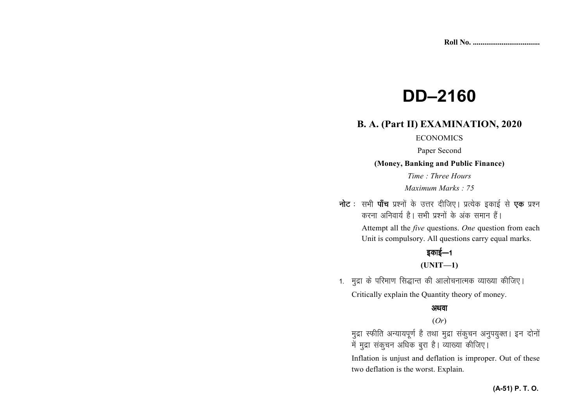# **DD–2160**

# **B. A. (Part II) EXAMINATION, 2020**

#### **ECONOMICS**

Paper Second

**(Money, Banking and Public Finance)** 

*Time : Three Hours* 

*Maximum Marks : 75*

**नोट** : सभी **पाँच** प्रश्नों के उत्तर दीजिए। प्रत्येक इकाई से **एक** प्रश्न करना अनिवार्य है। सभी प्रश्नों के अंक समान हैं।

> Attempt all the *five* questions. *One* question from each Unit is compulsory. All questions carry equal marks.

## इकाई—1

## **(UNIT—1)**

1. मुद्रा के परिमाण सिद्धान्त की आलोचनात्मक व्याख्या कीजिए। Critically explain the Quantity theory of money.

### अथवा

## (*Or*)

मुद्रा स्फीति अन्यायपूर्ण है तथा मुद्रा संकुचन अनुपयुक्त। इन दोनों में मुद्रा संकुचन अधिक बुरा है। व्याख्या कीजिए।

Inflation is unjust and deflation is improper. Out of these two deflation is the worst. Explain.